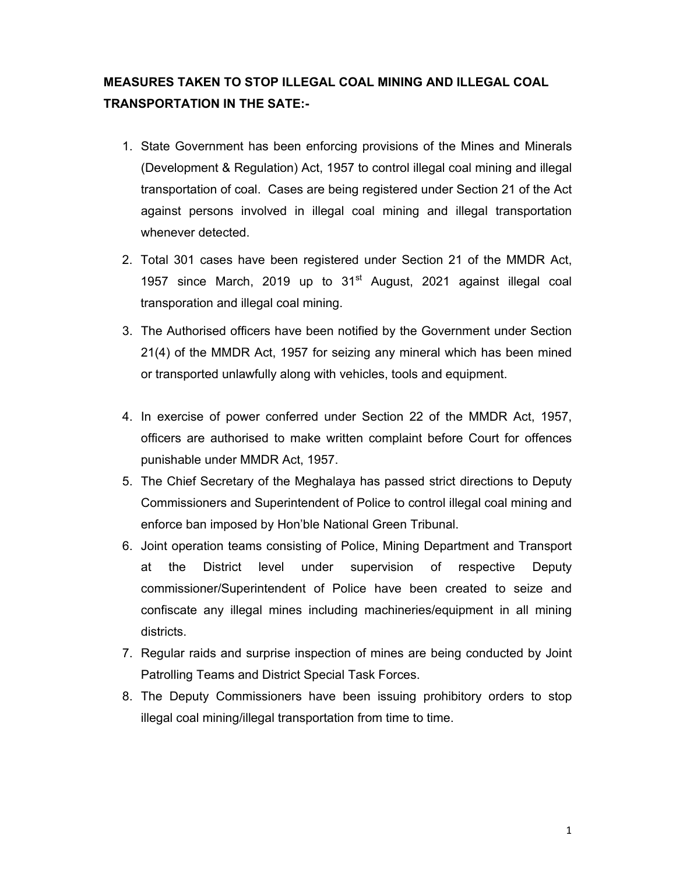## **MEASURES TAKEN TO STOP ILLEGAL COAL MINING AND ILLEGAL COAL TRANSPORTATION IN THE SATE:-**

- 1. State Government has been enforcing provisions of the Mines and Minerals (Development & Regulation) Act, 1957 to control illegal coal mining and illegal transportation of coal. Cases are being registered under Section 21 of the Act against persons involved in illegal coal mining and illegal transportation whenever detected.
- 2. Total 301 cases have been registered under Section 21 of the MMDR Act, 1957 since March, 2019 up to  $31<sup>st</sup>$  August, 2021 against illegal coal transporation and illegal coal mining.
- 3. The Authorised officers have been notified by the Government under Section 21(4) of the MMDR Act, 1957 for seizing any mineral which has been mined or transported unlawfully along with vehicles, tools and equipment.
- 4. In exercise of power conferred under Section 22 of the MMDR Act, 1957, officers are authorised to make written complaint before Court for offences punishable under MMDR Act, 1957.
- 5. The Chief Secretary of the Meghalaya has passed strict directions to Deputy Commissioners and Superintendent of Police to control illegal coal mining and enforce ban imposed by Hon'ble National Green Tribunal.
- 6. Joint operation teams consisting of Police, Mining Department and Transport at the District level under supervision of respective Deputy commissioner/Superintendent of Police have been created to seize and confiscate any illegal mines including machineries/equipment in all mining districts.
- 7. Regular raids and surprise inspection of mines are being conducted by Joint Patrolling Teams and District Special Task Forces.
- 8. The Deputy Commissioners have been issuing prohibitory orders to stop illegal coal mining/illegal transportation from time to time.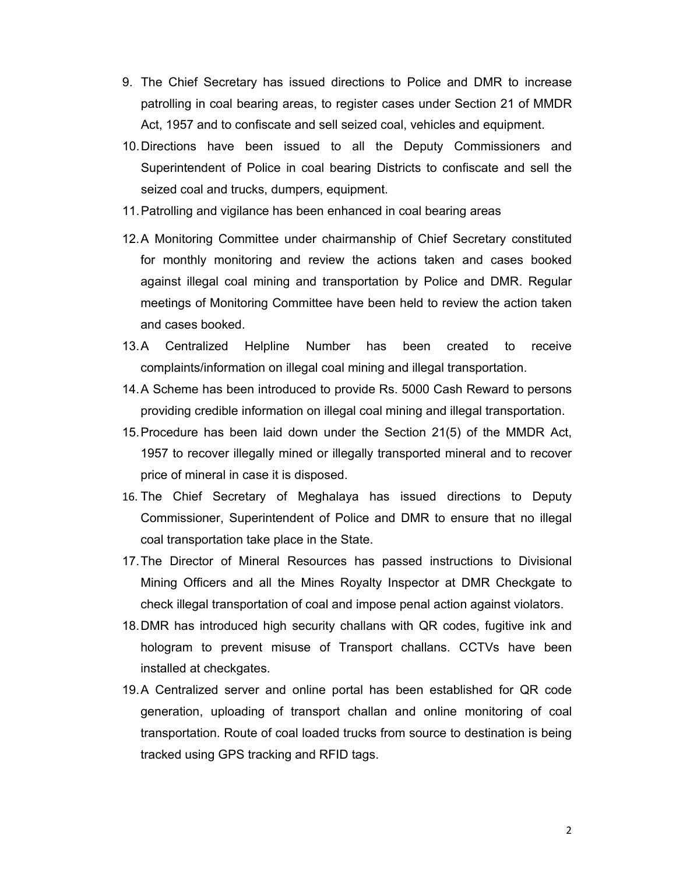- 9. The Chief Secretary has issued directions to Police and DMR to increase patrolling in coal bearing areas, to register cases under Section 21 of MMDR Act, 1957 and to confiscate and sell seized coal, vehicles and equipment.
- 10. Directions have been issued to all the Deputy Commissioners and Superintendent of Police in coal bearing Districts to confiscate and sell the seized coal and trucks, dumpers, equipment.
- 11. Patrolling and vigilance has been enhanced in coal bearing areas
- 12. A Monitoring Committee under chairmanship of Chief Secretary constituted for monthly monitoring and review the actions taken and cases booked against illegal coal mining and transportation by Police and DMR. Regular meetings of Monitoring Committee have been held to review the action taken and cases booked.
- 13. A Centralized Helpline Number has been created to receive complaints/information on illegal coal mining and illegal transportation.
- 14. A Scheme has been introduced to provide Rs. 5000 Cash Reward to persons providing credible information on illegal coal mining and illegal transportation.
- 15. Procedure has been laid down under the Section 21(5) of the MMDR Act, 1957 to recover illegally mined or illegally transported mineral and to recover price of mineral in case it is disposed.
- 16. The Chief Secretary of Meghalaya has issued directions to Deputy Commissioner, Superintendent of Police and DMR to ensure that no illegal coal transportation take place in the State.
- 17. The Director of Mineral Resources has passed instructions to Divisional Mining Officers and all the Mines Royalty Inspector at DMR Checkgate to check illegal transportation of coal and impose penal action against violators.
- 18. DMR has introduced high security challans with QR codes, fugitive ink and hologram to prevent misuse of Transport challans. CCTVs have been installed at checkgates.
- 19. A Centralized server and online portal has been established for QR code generation, uploading of transport challan and online monitoring of coal transportation. Route of coal loaded trucks from source to destination is being tracked using GPS tracking and RFID tags.